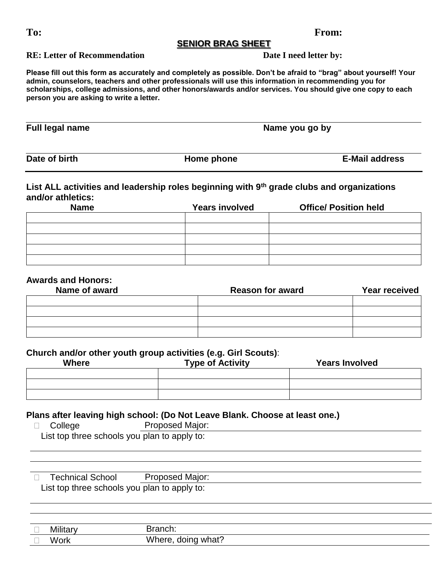#### **SENIOR BRAG SHEET**

**RE: Letter of Recommendation** Date I need letter by:

**Please fill out this form as accurately and completely as possible. Don't be afraid to "brag" about yourself! Your admin, counselors, teachers and other professionals will use this information in recommending you for scholarships, college admissions, and other honors/awards and/or services. You should give one copy to each person you are asking to write a letter.** 

**Full legal name Name you go by** 

**Date of birth Home phone E-Mail address**

## **List ALL activities and leadership roles beginning with 9th grade clubs and organizations and/or athletics:**

| <b>Name</b> | <b>Years involved</b> | <b>Office/ Position held</b> |
|-------------|-----------------------|------------------------------|
|             |                       |                              |
|             |                       |                              |
|             |                       |                              |
|             |                       |                              |
|             |                       |                              |

## **Awards and Honors:**

| Name of award | <b>Reason for award</b> | Year received |
|---------------|-------------------------|---------------|
|               |                         |               |
|               |                         |               |
|               |                         |               |
|               |                         |               |

### **Church and/or other youth group activities (e.g. Girl Scouts)**:

| -<br><b>Where</b> | . .<br><b>Type of Activity</b> | <b>Years Involved</b> |
|-------------------|--------------------------------|-----------------------|
|                   |                                |                       |
|                   |                                |                       |
|                   |                                |                       |

### **Plans after leaving high school: (Do Not Leave Blank. Choose at least one.)**

D College Proposed Major: List top three schools you plan to apply to:

D Technical School Proposed Major: List top three schools you plan to apply to:

| _ | .         |                                       |
|---|-----------|---------------------------------------|
|   | W.<br>--- | <br>what<br>. 17 D E<br>,,,<br>ິ<br>. |